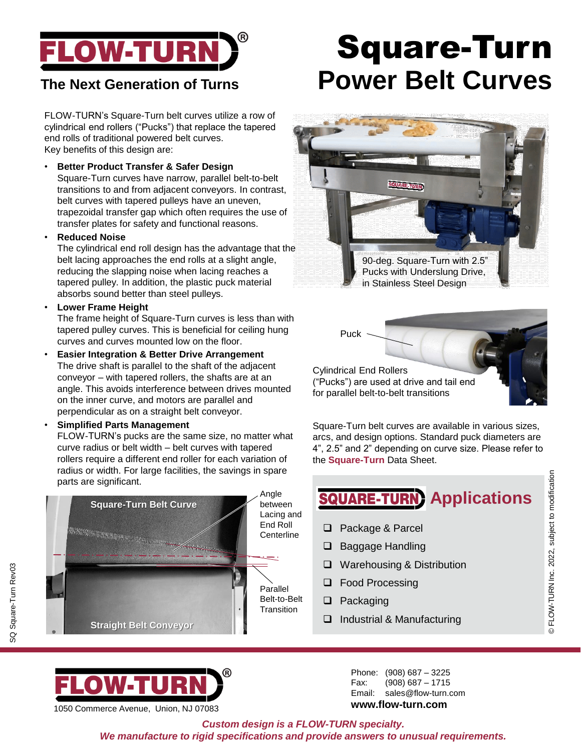

FLOW-TURN's Square-Turn belt curves utilize a row of cylindrical end rollers ("Pucks") that replace the tapered end rolls of traditional powered belt curves. Key benefits of this design are:

• **Better Product Transfer & Safer Design**

Square-Turn curves have narrow, parallel belt-to-belt transitions to and from adjacent conveyors. In contrast, belt curves with tapered pulleys have an uneven, trapezoidal transfer gap which often requires the use of transfer plates for safety and functional reasons.

• **Reduced Noise**

The cylindrical end roll design has the advantage that the belt lacing approaches the end rolls at a slight angle, reducing the slapping noise when lacing reaches a tapered pulley. In addition, the plastic puck material absorbs sound better than steel pulleys.

• **Lower Frame Height**

The frame height of Square-Turn curves is less than with tapered pulley curves. This is beneficial for ceiling hung curves and curves mounted low on the floor.

- **Easier Integration & Better Drive Arrangement** The drive shaft is parallel to the shaft of the adjacent conveyor – with tapered rollers, the shafts are at an angle. This avoids interference between drives mounted on the inner curve, and motors are parallel and perpendicular as on a straight belt conveyor.
- **Simplified Parts Management**

FLOW-TURN's pucks are the same size, no matter what curve radius or belt width – belt curves with tapered rollers require a different end roller for each variation of radius or width. For large facilities, the savings in spare parts are significant.



# Square-Turn **The Next Generation of Turns Power Belt Curves**





Square-Turn belt curves are available in various sizes, arcs, and design options. Standard puck diameters are 4", 2.5" and 2" depending on curve size. Please refer to the **Square-Turn** Data Sheet.

# **SQUARE-TURN** Applications

© FLOW-TURN Inc. 2022, subject to modification

© FLOW-TURN Inc. 2022, subject to modification

- ❑ Package & Parcel
- ❑ Baggage Handling
- ❑ Warehousing & Distribution
- ❑ Food Processing
- ❑ Packaging
- ❑ Industrial & Manufacturing

1050 Commerce Avenue, Union, NJ 07083

WEI

Phone: (908) 687 – 3225 Fax: (908) 687 – 1715 Email: sales@flow-turn.com **www.flow-turn.com**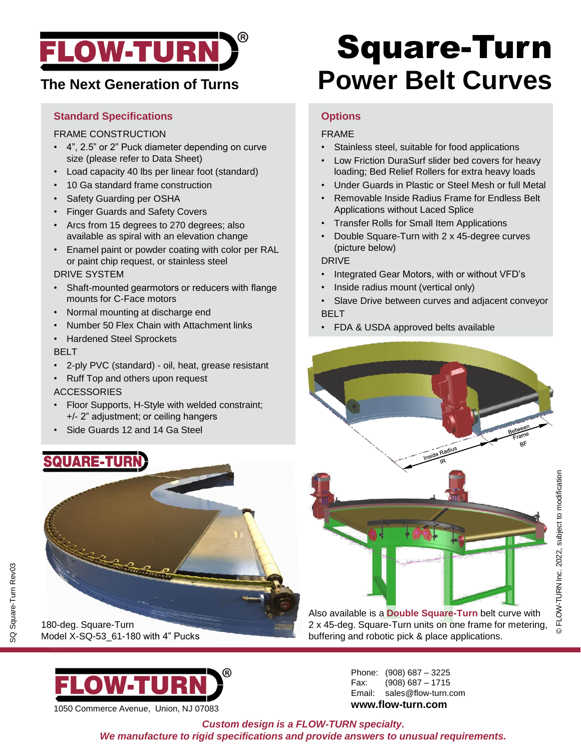

# **The Next Generation of Turns**

### **Standard Specifications**

#### FRAME CONSTRUCTION

- 4", 2.5" or 2" Puck diameter depending on curve size (please refer to Data Sheet)
- Load capacity 40 lbs per linear foot (standard)
- 10 Ga standard frame construction
- Safety Guarding per OSHA
- Finger Guards and Safety Covers
- Arcs from 15 degrees to 270 degrees; also available as spiral with an elevation change
- Enamel paint or powder coating with color per RAL or paint chip request, or stainless steel

#### DRIVE SYSTEM

- Shaft-mounted gearmotors or reducers with flange mounts for C-Face motors
- Normal mounting at discharge end
- Number 50 Flex Chain with Attachment links
- Hardened Steel Sprockets

#### BELT

- 2-ply PVC (standard) oil, heat, grease resistant
- Ruff Top and others upon request

### ACCESSORIES

- Floor Supports, H-Style with welded constraint; +/- 2" adjustment; or ceiling hangers
- Side Guards 12 and 14 Ga Steel

# **QUARE-TURN**



SQ Square-Turn Rev03

SQ Square-Turn Rev03



1050 Commerce Avenue, Union, NJ 07083

# Square-Turn **Power Belt Curves**

### **Options**

### FRAME

- Stainless steel, suitable for food applications
- Low Friction DuraSurf slider bed covers for heavy loading; Bed Relief Rollers for extra heavy loads
- Under Guards in Plastic or Steel Mesh or full Metal
- Removable Inside Radius Frame for Endless Belt Applications without Laced Splice
- Transfer Rolls for Small Item Applications
- Double Square-Turn with 2 x 45-degree curves (picture below)

#### DRIVE

- Integrated Gear Motors, with or without VFD's
- Inside radius mount (vertical only)
- Slave Drive between curves and adjacent conveyor BELT
- FDA & USDA approved belts available



Also available is a **Double Square-Turn** belt curve with 2 x 45-deg. Square-Turn units on one frame for metering, buffering and robotic pick & place applications.

> Phone: (908) 687 – 3225 Fax: (908) 687 – 1715 Email: sales@flow-turn.com **www.flow-turn.com**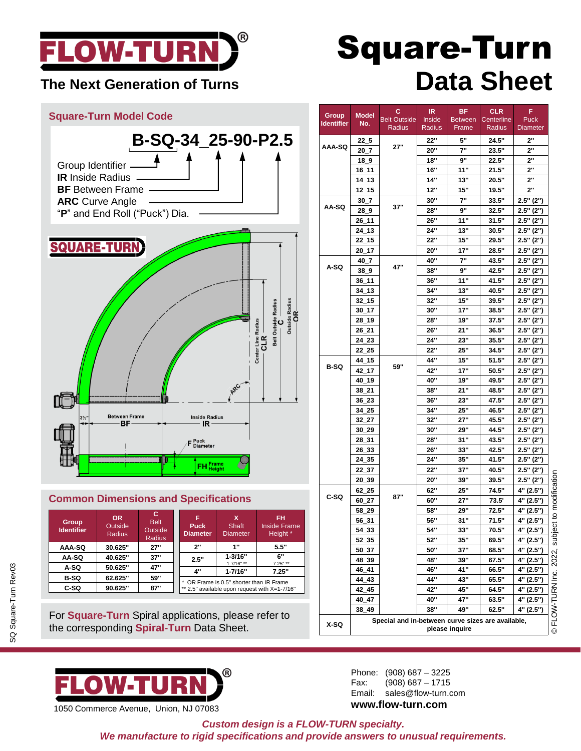

## **The Next Generation of Turns**



| <b>Group</b><br>ldentifier | $\mathbf{v}$<br>Outside<br>Radius | <b>Belt</b><br>Outside<br><b>Radius</b> | <b>Puck</b><br><b>Diameter</b>                | Shaft<br><b>Diameter</b>  | .<br><b>Inside Frame</b><br>Height * |  |  |  |
|----------------------------|-----------------------------------|-----------------------------------------|-----------------------------------------------|---------------------------|--------------------------------------|--|--|--|
| AAA-SQ                     | 30.625"                           | 27"                                     | ייכ                                           | 1"                        | 5.5"                                 |  |  |  |
| AA-SQ                      | 40.625"                           | 37"                                     | 2.5"                                          | $1 - 3/16"$               | 6"                                   |  |  |  |
| A-SQ                       | 50.625"                           | 47"                                     | 4"                                            | 1-7/16" **<br>$1 - 7/16"$ | $7.25"$ **<br>7.25"                  |  |  |  |
| <b>B-SQ</b>                | 62.625"                           | 59"                                     | OR Frame is 0.5" shorter than IR Frame        |                           |                                      |  |  |  |
| C-SQ                       | 90.625"                           | 87"                                     | ** 2.5" available upon request with X=1-7/16" |                           |                                      |  |  |  |

For **Square-Turn** Spiral applications, please refer to the corresponding **Spiral-Turn** Data Sheet.



1050 Commerce Avenue, Union, NJ 07083

# Square-Turn **Data Sheet**

|                     |                                                   | с                   | IR         | ВF             | <b>CLR</b> | F           |                        |  |  |
|---------------------|---------------------------------------------------|---------------------|------------|----------------|------------|-------------|------------------------|--|--|
| Group<br>ldentifier | Model<br>No.                                      | <b>Belt Outside</b> | Inside     | <b>Between</b> | Centerline | Puck        |                        |  |  |
|                     |                                                   | Radius              | Radius     | Frame          | Radius     | Diameter    |                        |  |  |
| AAA-SQ              | $22-5$                                            |                     | 22"        | 5"             | 24.5"      | 2"          |                        |  |  |
|                     | 20 7                                              | 27"                 | 20"        | 7"             | 23.5"      | 2"          |                        |  |  |
|                     | $18_9$                                            |                     | 18"        | 9"             | 22.5"      | 2"          |                        |  |  |
|                     | 16_11                                             |                     | <b>16"</b> | 11"            | 21.5"      | 2"          |                        |  |  |
|                     | 14 13                                             |                     | 14"        | 13"            | 20.5"      | 2"          |                        |  |  |
|                     | 12 15                                             |                     | 12"        | 15"            | 19.5"      | 2"          |                        |  |  |
| AA-SQ               | $30_7$                                            | 37"                 | 30"        | 7"             | 33.5"      | $2.5"$ (2") |                        |  |  |
|                     | $28 - 9$                                          |                     | 28"        | 9"             | 32.5"      | 2.5" (2")   |                        |  |  |
|                     | 26_11                                             |                     | 26"        | 11"            | 31.5"      | 2.5" (2")   |                        |  |  |
|                     | 24 13                                             |                     | 24"        | 13"            | 30.5"      | $2.5"$ (2") |                        |  |  |
|                     | $22 - 15$                                         |                     | 22"        | 15"            | 29.5"      | 2.5" (2")   |                        |  |  |
|                     | 20_17                                             |                     | 20"        | 17"            | 28.5"      | 2.5" (2")   |                        |  |  |
|                     | 40 7                                              | 47"                 | 40"        | 7"             | 43.5"      | 2.5" (2")   |                        |  |  |
| A-SQ                | 38 <sub>0</sub>                                   |                     | 38"        | 9"             | 42.5"      | $2.5"$ (2") |                        |  |  |
|                     | 36_11                                             |                     | 36"        | 11"            | 41.5"      | 2.5" (2")   |                        |  |  |
|                     | 34_13                                             |                     | 34"        | 13"            | 40.5"      | $2.5"$ (2") |                        |  |  |
|                     | $32 - 15$                                         |                     | 32"        | 15"            | 39.5"      | 2.5" (2")   |                        |  |  |
|                     | 30 17                                             |                     | 30"        | 17"            | 38.5"      | $2.5"$ (2") |                        |  |  |
|                     | 28_19                                             |                     | 28"        | 19"            | 37.5"      | 2.5" (2")   |                        |  |  |
|                     | 26_21                                             |                     | 26"        | 21"            | 36.5"      | $2.5"$ (2") |                        |  |  |
|                     | 24 23                                             |                     | 24"        | 23"            | 35.5"      | 2.5" (2")   |                        |  |  |
|                     | 22 25                                             |                     | 22"        | 25"            | 34.5"      | $2.5"$ (2") |                        |  |  |
|                     | 44_15                                             | 59"                 | 44"        | 15"            | 51.5"      | 2.5" (2")   |                        |  |  |
| <b>B-SQ</b>         | 42_17                                             |                     | 42"        | 17"            | 50.5"      | 2.5" (2")   |                        |  |  |
|                     | 40 19                                             |                     | 40"        | 19"            | 49.5"      | 2.5" (2")   |                        |  |  |
|                     | 38_21                                             |                     | 38"        | 21"            | 48.5"      | $2.5"$ (2") |                        |  |  |
|                     | 36_23                                             |                     | 36"        | 23"            | 47.5"      | 2.5" (2")   |                        |  |  |
|                     | 34_25                                             |                     | 34"        | 25"            | 46.5"      | $2.5"$ (2") |                        |  |  |
|                     | 32 27                                             |                     | 32"        | 27"            | 45.5"      | 2.5" (2")   |                        |  |  |
|                     | 30 29                                             |                     | <b>30"</b> | 29"            | 44.5"      | $2.5"$ (2") |                        |  |  |
|                     | 28_31                                             |                     | 28"        | 31"            | 43.5"      | 2.5" (2")   |                        |  |  |
|                     | 26_33                                             |                     | 26"        | 33"            | 42.5"      | $2.5"$ (2") |                        |  |  |
|                     | 24_35                                             |                     | 24"        | 35"            | 41.5"      | 2.5" (2")   |                        |  |  |
|                     | 22_37                                             |                     | 22"        | 37"            | 40.5"      | $2.5"$ (2") |                        |  |  |
|                     | 20 39                                             |                     | 20"        | 39"            | 39.5"      | 2.5" (2")   |                        |  |  |
|                     | $62 - 25$                                         |                     | 62"        | 25"            | 74.5"      | 4" (2.5")   |                        |  |  |
| C-SQ                | 60 27                                             | 87"                 | 60"        | 27"            | 73.5'      | 4" (2.5")   |                        |  |  |
|                     | 58 29                                             |                     | 58"        | 29"            | 72.5"      | 4" (2.5")   |                        |  |  |
|                     | 56_31                                             |                     | 56"        | 31"            | 71.5"      | 4" (2.5")   | ct to modification     |  |  |
|                     | $54 - 33$                                         |                     | 54"        | 33"            | 70.5"      | 4" (2.5")   |                        |  |  |
|                     | 52_35                                             |                     | 52"        | 35"            | 69.5"      | 4" (2.5")   | subjec                 |  |  |
|                     | 50_37                                             |                     | 50"        | 37"            | 68.5"      | 4" (2.5")   |                        |  |  |
|                     | 48_39                                             |                     | 48"        | 39"            | 67.5"      | 4" (2.5")   |                        |  |  |
|                     | 46_41                                             |                     | 46"        | 41"            | 66.5"      | 4" (2.5")   |                        |  |  |
|                     | 44_43                                             |                     | 44"        | 43"            | 65.5"      | 4" (2.5")   |                        |  |  |
|                     | 42_45                                             |                     | 42"        | 45"            | 64.5"      | 4" (2.5")   |                        |  |  |
|                     | 40_47                                             |                     | 40"        | 47"            | 63.5"      | 4" (2.5")   |                        |  |  |
|                     | 38_49                                             |                     | 38"        | 49"            | 62.5"      | 4" (2.5")   |                        |  |  |
|                     | Special and in-between curve sizes are available, |                     |            |                |            |             |                        |  |  |
| X-SQ                |                                                   |                     |            | please inquire |            |             | © FLOW-TURN Inc. 2022, |  |  |
|                     |                                                   |                     |            |                |            |             |                        |  |  |

© FLOW-TURN Inc. 2022, subject to modification

Phone: (908) 687 – 3225 Fax: (908) 687 – 1715 Email: sales@flow-turn.com **www.flow-turn.com**